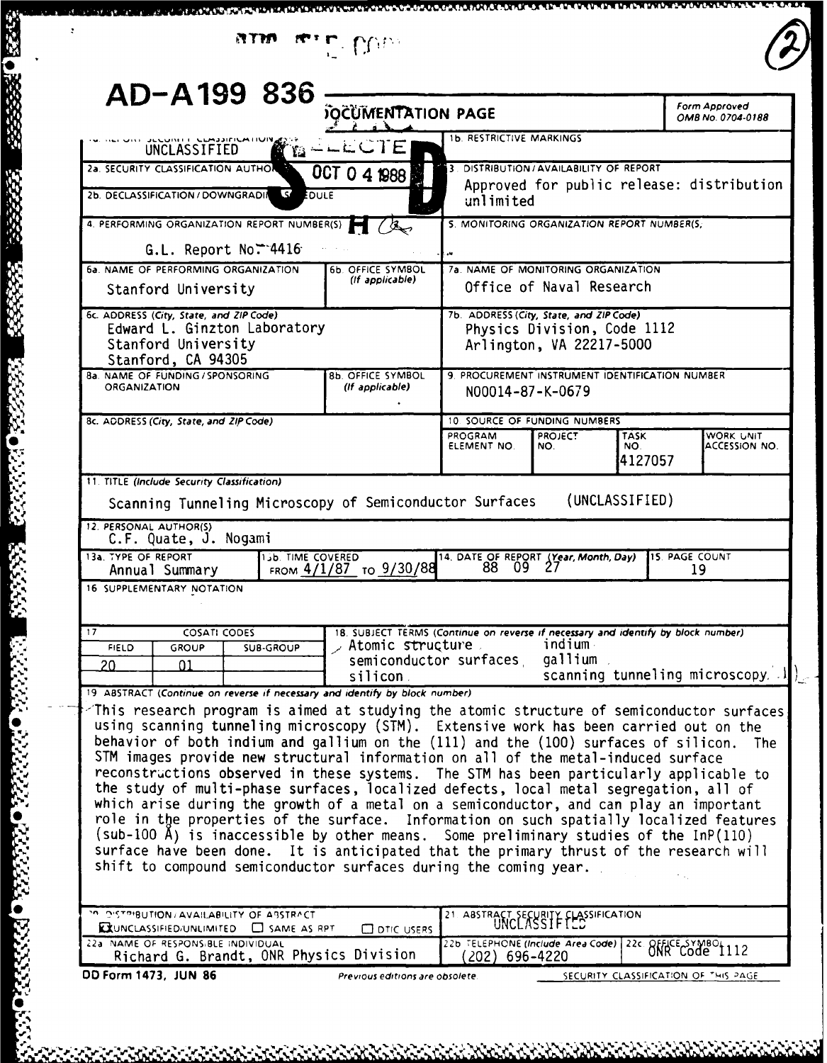| AD-A199 836                                                                                                                                                                                                                                                                                                                                                                                                                                                                                                                                                                                                                                                                                                                                                                                                    | <b>JOCUMENTATION PAGE</b>                                                         |                                                                                                                    |                                                         |                | Form Approved<br>OMB No. 0704-0188        |
|----------------------------------------------------------------------------------------------------------------------------------------------------------------------------------------------------------------------------------------------------------------------------------------------------------------------------------------------------------------------------------------------------------------------------------------------------------------------------------------------------------------------------------------------------------------------------------------------------------------------------------------------------------------------------------------------------------------------------------------------------------------------------------------------------------------|-----------------------------------------------------------------------------------|--------------------------------------------------------------------------------------------------------------------|---------------------------------------------------------|----------------|-------------------------------------------|
| UNCLASSIFIED                                                                                                                                                                                                                                                                                                                                                                                                                                                                                                                                                                                                                                                                                                                                                                                                   | MD∸⊢⊏CIE                                                                          | <b>1b. RESTRICTIVE MARKINGS</b>                                                                                    |                                                         |                |                                           |
| 2a. SECURITY CLASSIFICATION AUTHOR                                                                                                                                                                                                                                                                                                                                                                                                                                                                                                                                                                                                                                                                                                                                                                             | OCT 0 4 1988                                                                      |                                                                                                                    | DISTRIBUTION/AVAILABILITY OF REPORT                     |                |                                           |
| $\mathcal{S}'$<br>2b. DECLASSIFICATION / DOWNGRADIA<br>EDULE                                                                                                                                                                                                                                                                                                                                                                                                                                                                                                                                                                                                                                                                                                                                                   |                                                                                   | unlimited                                                                                                          |                                                         |                | Approved for public release: distribution |
| 4. PERFORMING ORGANIZATION REPORT NUMBER(S)                                                                                                                                                                                                                                                                                                                                                                                                                                                                                                                                                                                                                                                                                                                                                                    |                                                                                   | 5. MONITORING ORGANIZATION REPORT NUMBER(S,                                                                        |                                                         |                |                                           |
| G.L. Report No. $-4416$                                                                                                                                                                                                                                                                                                                                                                                                                                                                                                                                                                                                                                                                                                                                                                                        |                                                                                   | $\mathbf{u}$                                                                                                       |                                                         |                |                                           |
| 6a. NAME OF PERFORMING ORGANIZATION                                                                                                                                                                                                                                                                                                                                                                                                                                                                                                                                                                                                                                                                                                                                                                            | 6b. OFFICE SYMBOL                                                                 | 7a. NAME OF MONITORING ORGANIZATION                                                                                |                                                         |                |                                           |
| Stanford University                                                                                                                                                                                                                                                                                                                                                                                                                                                                                                                                                                                                                                                                                                                                                                                            | (If applicable)                                                                   |                                                                                                                    | Office of Naval Research                                |                |                                           |
| 6c. ADDRESS (City, State, and ZIP Code)                                                                                                                                                                                                                                                                                                                                                                                                                                                                                                                                                                                                                                                                                                                                                                        |                                                                                   | 7b. ADDRESS (City, State, and ZIP Code)                                                                            |                                                         |                |                                           |
| Edward L. Ginzton Laboratory<br>Stanford University                                                                                                                                                                                                                                                                                                                                                                                                                                                                                                                                                                                                                                                                                                                                                            |                                                                                   |                                                                                                                    | Physics Division, Code 1112<br>Arlington, VA 22217-5000 |                |                                           |
| Stanford, CA 94305                                                                                                                                                                                                                                                                                                                                                                                                                                                                                                                                                                                                                                                                                                                                                                                             |                                                                                   |                                                                                                                    |                                                         |                |                                           |
| 8a. NAME OF FUNDING / SPONSORING<br><b>ORGANIZATION</b>                                                                                                                                                                                                                                                                                                                                                                                                                                                                                                                                                                                                                                                                                                                                                        | 8b. OFFICE SYMBOL<br>(If applicable)                                              | 9. PROCUREMENT INSTRUMENT IDENTIFICATION NUMBER<br>N00014-87-K-0679                                                |                                                         |                |                                           |
| 8c. ADDRESS (City, State, and ZIP Code)                                                                                                                                                                                                                                                                                                                                                                                                                                                                                                                                                                                                                                                                                                                                                                        |                                                                                   | 10. SOURCE OF FUNDING NUMBERS                                                                                      |                                                         |                |                                           |
|                                                                                                                                                                                                                                                                                                                                                                                                                                                                                                                                                                                                                                                                                                                                                                                                                |                                                                                   | PROGRAM<br>ELEMENT NO.                                                                                             | <b>PROJECT</b><br>NO.                                   | TASK<br>NO.    | WORK UNIT<br>ACCESSION NO.                |
| 11. TITLE (Include Security Classification)                                                                                                                                                                                                                                                                                                                                                                                                                                                                                                                                                                                                                                                                                                                                                                    |                                                                                   |                                                                                                                    |                                                         | 4127057        |                                           |
| C.F. Quate, J. Nogami<br><b>13b. TIME COVERED</b>                                                                                                                                                                                                                                                                                                                                                                                                                                                                                                                                                                                                                                                                                                                                                              |                                                                                   | Scanning Tunneling Microscopy of Semiconductor Surfaces                                                            |                                                         | (UNCLASSIFIED) | <b>15. PAGE COUNT</b>                     |
| 12. PERSONAL AUTHOR(S)<br>13a. TYPE OF REPORT<br>Annual Summary                                                                                                                                                                                                                                                                                                                                                                                                                                                                                                                                                                                                                                                                                                                                                | FROM 4/1/87 TO 9/30/88                                                            | 14. DATE OF REPORT (Year, Month, Day)<br>88 09 27                                                                  |                                                         |                | 19                                        |
| 16 SUPPLEMENTARY NOTATION                                                                                                                                                                                                                                                                                                                                                                                                                                                                                                                                                                                                                                                                                                                                                                                      |                                                                                   |                                                                                                                    |                                                         |                |                                           |
| 17<br><b>COSATI CODES</b>                                                                                                                                                                                                                                                                                                                                                                                                                                                                                                                                                                                                                                                                                                                                                                                      | 18. SUBJECT TERMS (Continue on reverse if necessary and identify by block number) |                                                                                                                    |                                                         |                |                                           |
| SUB-GROUP<br><b>FIELD</b><br><b>GROUP</b>                                                                                                                                                                                                                                                                                                                                                                                                                                                                                                                                                                                                                                                                                                                                                                      | Atomic structure                                                                  |                                                                                                                    | indium                                                  |                |                                           |
| 20<br>01                                                                                                                                                                                                                                                                                                                                                                                                                                                                                                                                                                                                                                                                                                                                                                                                       | silicon                                                                           | semiconductor surfaces                                                                                             | gallium.                                                |                | scanning tunneling microscopy. J          |
| 19 ABSTRACT (Continue on reverse if necessary and identify by block number)                                                                                                                                                                                                                                                                                                                                                                                                                                                                                                                                                                                                                                                                                                                                    |                                                                                   |                                                                                                                    |                                                         |                |                                           |
| This research program is aimed at studying the atomic structure of semiconductor surfaces<br>using scanning tunneling microscopy (STM). Extensive work has been carried out on the                                                                                                                                                                                                                                                                                                                                                                                                                                                                                                                                                                                                                             |                                                                                   |                                                                                                                    |                                                         |                |                                           |
|                                                                                                                                                                                                                                                                                                                                                                                                                                                                                                                                                                                                                                                                                                                                                                                                                |                                                                                   |                                                                                                                    |                                                         |                | <b>The</b>                                |
| behavior of both indium and gallium on the (111) and the (100) surfaces of silicon.<br>STM images provide new structural information on all of the metal-induced surface                                                                                                                                                                                                                                                                                                                                                                                                                                                                                                                                                                                                                                       |                                                                                   |                                                                                                                    |                                                         |                |                                           |
|                                                                                                                                                                                                                                                                                                                                                                                                                                                                                                                                                                                                                                                                                                                                                                                                                |                                                                                   |                                                                                                                    |                                                         |                |                                           |
|                                                                                                                                                                                                                                                                                                                                                                                                                                                                                                                                                                                                                                                                                                                                                                                                                |                                                                                   |                                                                                                                    |                                                         |                |                                           |
|                                                                                                                                                                                                                                                                                                                                                                                                                                                                                                                                                                                                                                                                                                                                                                                                                |                                                                                   |                                                                                                                    |                                                         |                |                                           |
|                                                                                                                                                                                                                                                                                                                                                                                                                                                                                                                                                                                                                                                                                                                                                                                                                |                                                                                   |                                                                                                                    |                                                         |                |                                           |
|                                                                                                                                                                                                                                                                                                                                                                                                                                                                                                                                                                                                                                                                                                                                                                                                                |                                                                                   |                                                                                                                    |                                                         |                |                                           |
|                                                                                                                                                                                                                                                                                                                                                                                                                                                                                                                                                                                                                                                                                                                                                                                                                |                                                                                   |                                                                                                                    |                                                         |                |                                           |
| reconstructions observed in these systems. The STM has been particularly applicable to<br>the study of multi-phase surfaces, localized defects, local metal segregation, all of<br>which arise during the growth of a metal on a semiconductor, and can play an important<br>role in the properties of the surface. Information on such spatially localized features<br>$(sub-100 A)$ is inaccessible by other means. Some preliminary studies of the InP $(110)$<br>surface have been done. It is anticipated that the primary thrust of the research will<br>shift to compound semiconductor surfaces during the coming year.<br>29 DISTRIBUTION/AVAILABILITY OF ABSTRACT<br>EXUNCLASSIFIED/UNLIMITED <b>CO</b> SAME AS RPT<br>22a NAME OF RESPONSIBLE INDIVIDUAL<br>Richard G. Brandt, ONR Physics Division | <b>Q</b> DTIC USERS                                                               | 21. ABSTRACT SECURITY CLASSIFICATION<br>226 TELEPHONE (Include Area Code) 22c. OFFICE SYMBOL 112<br>(202) 696-4220 |                                                         |                |                                           |

AAA MAA AAAA AAAA

\*\*\*\*\*\*\*\*\*

.. **N .. N**

第528 ● 第222222 ● 第22222 ● 第22222 ● 第22222

33333

YANYA ONYENA KAYAKA DIYAYAYO KAYA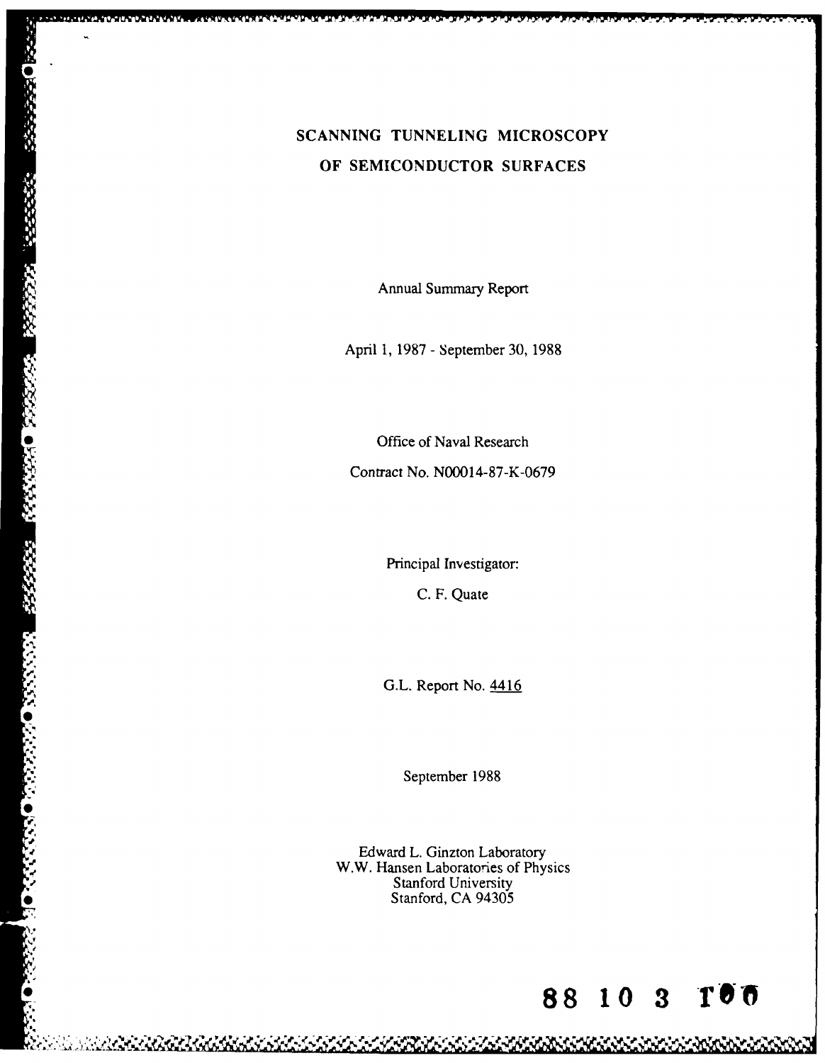# **SCANNING TUNNELING MICROSCOPY OF SEMICONDUCTOR SURFACES** SCANNING TUNNELING MIC<br>
OF SEMICONDUCTOR SUR<br>
Annual Summary Report<br>
April 1, 1987 - September 30,<br>
Office of Naval Research<br>
Contract No. N00014-87-K-0

Annual Summary Report

April 1, 1987 - September 30, 1988

Contract No. N00014-87-K-0679

Principal Investigator: C. F. Quate

September 1988

". G.L. Report No. 4416 Edward L. Ginzton Laboratory W.W. Hansen Laboratories of Physics Stanford University Stanford, CA 94305

A MARKA MARKA MARKA

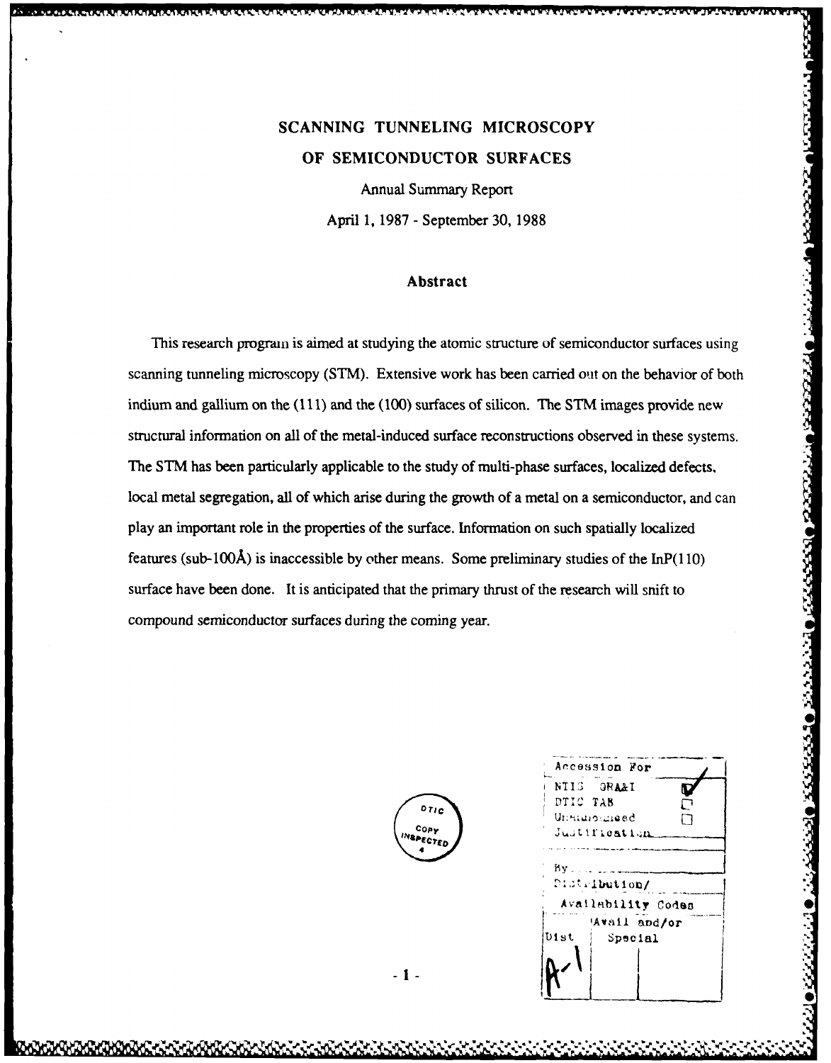# **SCANNING TUNNELING MICROSCOPY OF SEMICONDUCTOR SURFACES**

Annual Summary Report April **1, 1987 -** September **30, 1988**

### **Abstract**

This research progran is aimed at studying the atomic structure of semiconductor surfaces using scanning tunneling microscopy (STM). Extensive work has been carried out on the behavior of both indium and gallium on the (111) and the (100) surfaces of silicon. The STM images provide new structural information on all of the metal-induced surface reconstructions observed in these systems. The STM has been particularly applicable to the study of multi-phase surfaces, localized defects. local metal segregation, all of which arise during the growth of a metal on a semiconductor, and can play an important role in the properties of the surface. Information on such spatially localized features (sub-100Å) is inaccessible by other means. Some preliminary studies of the  $InP(110)$ surface have been done. It is anticipated that the primary thrust of the research will snift to compound semiconductor surfaces during the coming year.

|                        | Accession For                                                           |
|------------------------|-------------------------------------------------------------------------|
| DTIC<br>COPY<br>PECTED | NTIS 1<br><b>GRA&amp;I</b><br>DTIC TAB<br>Unstainunged<br>Justification |
|                        | Βv<br>Distribution/                                                     |
|                        | Availability Codes                                                      |
|                        | Avail and/or<br><b>Dist</b><br>Special                                  |
|                        |                                                                         |

2322.22

والمتحججج والشمتح والكحمان والداهدة

 $-1-$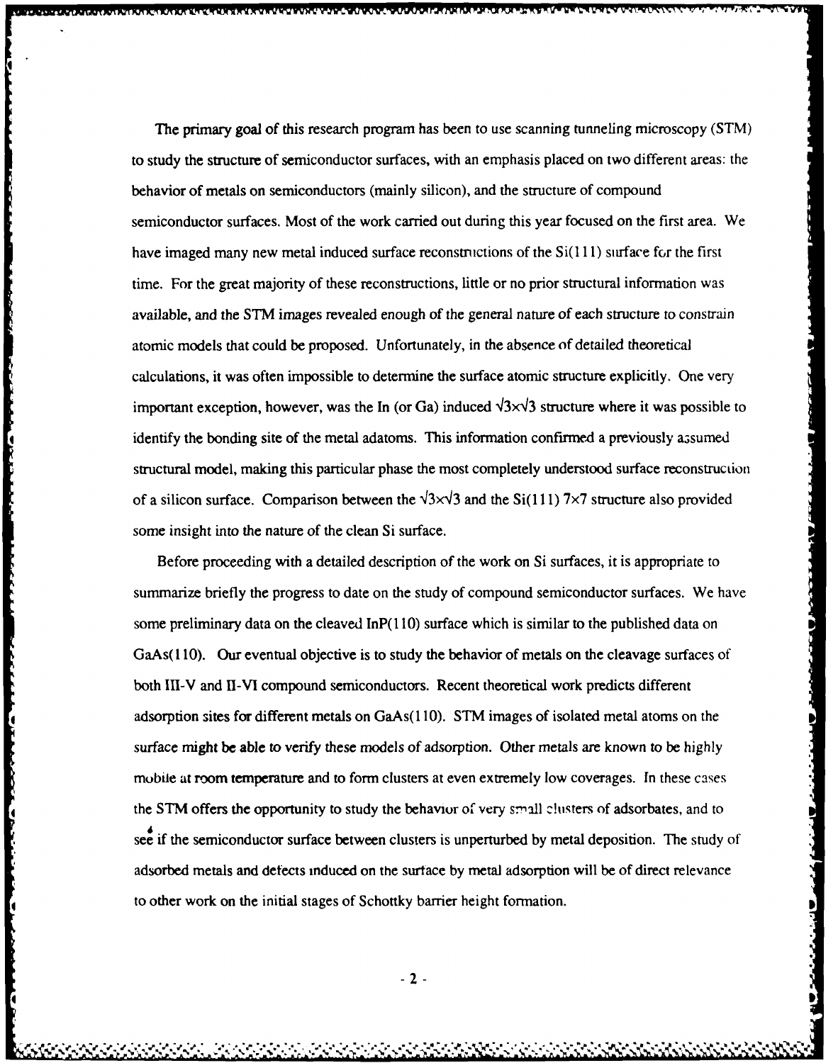The primary goal of this research program has been to use scanning tunneling microscopy (STM) to study the structure of semiconductor surfaces, with an emphasis placed on two different areas: the behavior of metals on semiconductors (mainly silicon), and the structure of compound semiconductor surfaces. Most of the work carried out during this year focused on the first area. We have imaged many new metal induced surface reconstructions of the  $Si(111)$  surface for the first time. For the great majority of these reconstructions, little or no prior structural information was available, and the STM images revealed enough of the general nature of each structure to constrain atomic models that could be proposed. Unfortunately, in the absence of detailed theoretical calculations, it was often impossible to determine the surface atomic structure explicitly. One very important exception, however, was the In (or Ga) induced  $\sqrt{3} \times \sqrt{3}$  structure where it was possible to identify the bonding site of the metal adatoms. This information confirmed a previously assumed structural model, making this particular phase the most completely understood surface reconstruction of a silicon surface. Comparison between the  $\sqrt{3} \times \sqrt{3}$  and the Si(111) 7×7 structure also provided some insight into the nature of the clean Si surface.

Before proceeding with a detailed description of the work on Si surfaces, it is appropriate to summarize briefly the progress to date on the study of compound semiconductor surfaces. We have some preliminary data on the cleaved InP(1 **10)** surface which is similar to the published data on GaAs( 110). Our eventual objective is to study the behavior of metals on the cleavage surfaces of both 111-V and Il-VI compound semiconductors. Recent theoretical work predicts different adsorption sites for different metals on GaAs(l 10). STM images of isolated metal atoms on the surface might be able to verify these models of adsorption. Other metals are known to be highly mobile at room temperature and to form clusters at even extremely low coverages. In these cases the STM offers the opportunity to study the behavior of very small clusters of adsorbates, and to see if the semiconductor surface between clusters is unperturbed by metal deposition. The study of adsorbed metals and detects induced on the surtace by metal adsorption will be of direct relevance to other work on the initial stages of Schottky barrier height formation.

k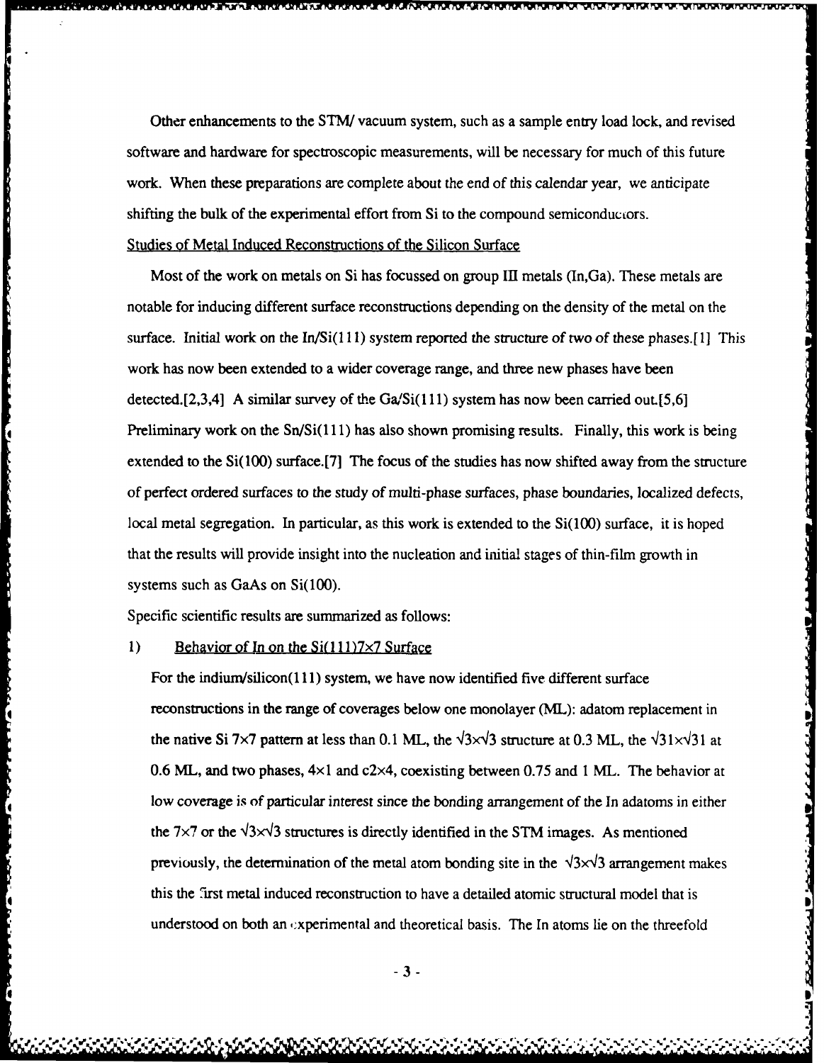Other enhancements to the STM/ vacuum system, such as a sample entry load lock, and revised software and hardware for spectroscopic measurements, will be necessary for much of this future work. When these preparations are complete about the end of this calendar year, we anticipate shifting the bulk of the experimental effort from Si to the compound semiconductors. Studies of Metal Induced Reconstructions of the Silicon Surface

Most of the work on metals on Si has focussed on group III metals (In,Ga). These metals are notable for inducing different surface reconstructions depending on the density of the metal on the surface. Initial work on the In/Si(111) system reported the structure of two of these phases.[1] This work has now been extended to a wider coverage range, and three new phases have been detected.[2,3,4] A similar survey of the Ga/Si(111) system has now been carried out.[5,6] Preliminary work on the  $Sn/Si(111)$  has also shown promising results. Finally, this work is being extended to the Si(100) surface.[7] The focus of the studies has now shifted away from the structure of perfect ordered surfaces to the study of multi-phase surfaces, phase boundaries, localized defects, local metal segregation. In particular, as this work is extended to the Si(100) surface, it is hoped that the results will provide insight into the nucleation and initial stages of thin-film growth in systems such as GaAs on Si(100).

Specific scientific results are summarized as follows:

# 1) Behavior of In on the Si(111)7x7 Surface

**Continued in the continued of the continued of the continued of the continued of the continued of the continued of the continued of the continued of the continued of the continued of the continued of the continued of the** 

For the indium/silicon(111) system, we have now identified five different surface reconstructions in the range of coverages below one monolayer (ML): adatom replacement in the native Si 7×7 pattern at less than 0.1 ML, the  $\sqrt{3} \times \sqrt{3}$  structure at 0.3 ML, the  $\sqrt{31} \times \sqrt{31}$  at 0.6 ML, and two phases,  $4 \times 1$  and  $c2 \times 4$ , coexisting between 0.75 and 1 ML. The behavior at low coverage is of particular interest since the bonding arrangement of the In adatoms in either the 7×7 or the  $\sqrt{3}$  structures is directly identified in the STM images. As mentioned previously, the determination of the metal atom bonding site in the  $\sqrt{3}\times\sqrt{3}$  arrangement makes this the 7irst metal induced reconstruction to have a detailed atomic structural model that is understood on both an  $\alpha$  experimental and theoretical basis. The In atoms lie on the threefold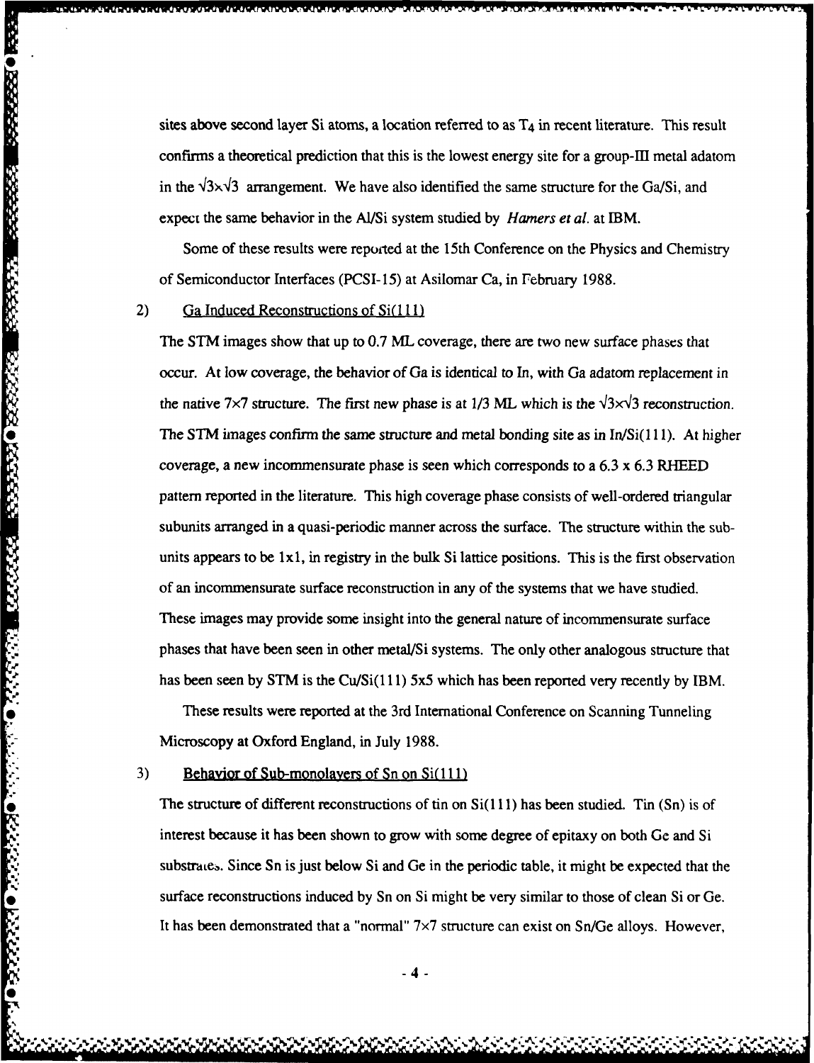sites above second layer Si atoms, a location referred to as T4 in recent literature. This result confirms a theoretical prediction that this is the lowest energy site for a group-IfI metal adatom in the  $\sqrt{3} \times \sqrt{3}$  arrangement. We have also identified the same structure for the Ga/Si, and expect the same behavior in the Al/Si system studied **by** *Hamers et al.* at IBM.

Some of these results were reported at the 15th Conference on the Physics and Chemistry of Semiconductor Interfaces (PCSI-15) at Asilomar Ca, in February 1988.

#### 2) Ga Induced Reconstructions of Si(111)

**THORRES REPORT AND SAVE DESCRIPTION** 

**DESCRIPTION CONTROLS INTERFERENCES** 

The STM images show that up to 0.7 ML coverage, there are two new surface phases that occur. At low coverage, the behavior of Ga is identical to In, with Ga adatom replacement in the native 7×7 structure. The first new phase is at 1/3 ML which is the  $\sqrt{3} \times \sqrt{3}$  reconstruction. The STM images confirm the same structure and metal bonding site as in  $In/Si(111)$ . At higher coverage, a new incommensurate phase is seen which corresponds to a 6.3 x 6.3 RHEED pattern reported in the literature. This high coverage phase consists of well-ordered triangular subunits arranged in a quasi-periodic manner across the surface. The structure within the subunits appears to be lxl, in registry in the bulk Si lattice positions. This is the first observation of an incommensurate surface reconstruction in any of the systems that we have studied. These images may provide some insight into the general nature of incommensurate surface phases that have been seen in other metal/Si systems. The only other analogous structure that has been seen by STM is the Cu/Si(111) 5x5 which has been reported very recently by IBM.

These results were reported at the 3rd International Conference on Scanning Tunneling Microscopy at Oxford England, in July 1988.

3) Behavior of Sub-monolayers of Sn on Si(111)

The structure of different reconstructions of tin on  $Si(111)$  has been studied. Tin  $(Sn)$  is of interest because it has been shown to grow with some degree of epitaxy on both Ge and Si substrates. Since Sn is just below Si and Ge in the periodic table, it might be expected that the surface reconstructions induced by Sn on Si might be very similar to those of clean Si or Ge. It has been demonstrated that a "normal"  $7\times7$  structure can exist on Sn/Ge alloys. However,

-4-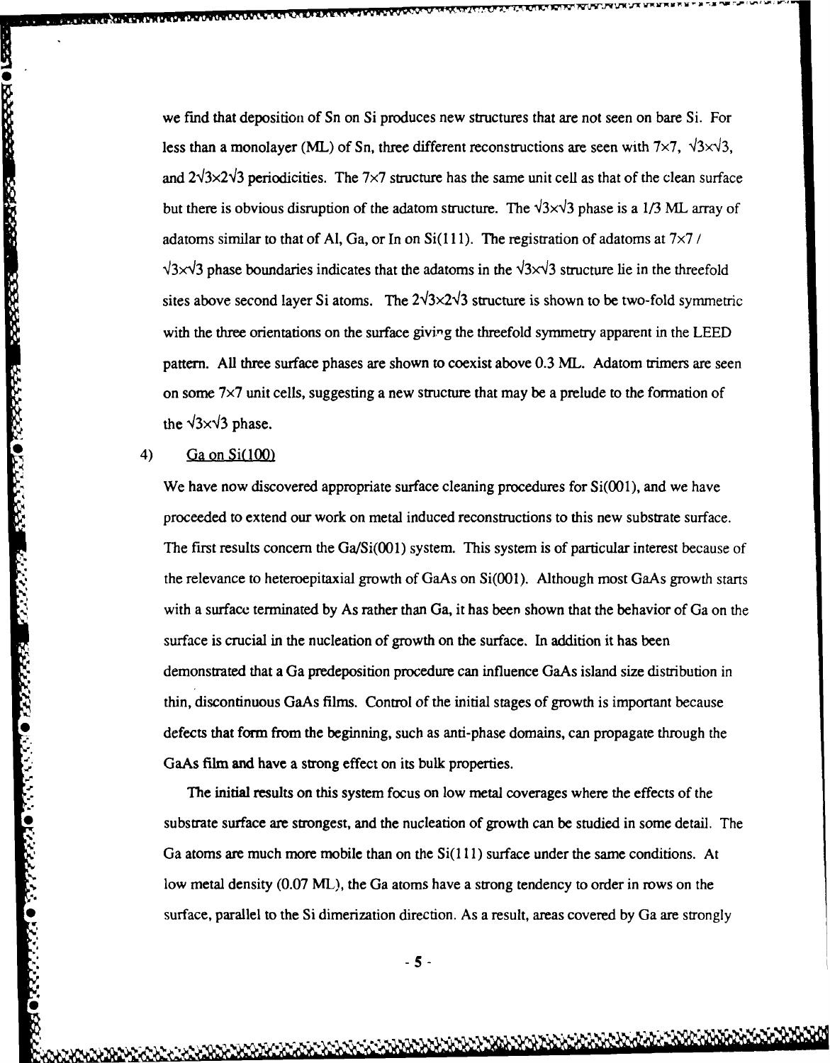we find that deposition of Sn on Si produces new structures that are not seen on bare Si. For less than a monolayer **(ML)** of Sn, three different reconstructions are seen with  $7 \times 7$ ,  $\sqrt{3} \times \sqrt{3}$ , and  $2\sqrt{3}\times2\sqrt{3}$  periodicities. The 7 $\times$ 7 structure has the same unit cell as that of the clean surface but there is obvious disruption of the adatom structure. The  $\sqrt{3} \times \sqrt{3}$  phase is a 1/3 ML array of adatoms similar to that of Al, Ga, or In on  $Si(111)$ . The registration of adatoms at  $7\times7$  /  $\sqrt{3} \times \sqrt{3}$  phase boundaries indicates that the adatoms in the  $\sqrt{3} \times \sqrt{3}$  structure lie in the threefold sites above second layer Si atoms. The  $2\sqrt{3}\times2\sqrt{3}$  structure is shown to be two-fold symmetric with the three orientations on the surface giving the threefold symmetry apparent in the LEED pattern. All three surface phases are shown to coexist above 0.3 ML. Adatom trimers are seen on some  $7\times7$  unit cells, suggesting a new structure that may be a prelude to the formation of the  $\sqrt{3} \times \sqrt{3}$  phase.

# **0** 4) Ga on Si(100)

44444400000

**PROGRESS CONSIDERATION** 

We have now discovered appropriate surface cleaning procedures for  $Si(001)$ , and we have proceeded to extend our work on metal induced reconstructions to this new substrate surface. The first results concern the Ga/Si(001) system. This system is of particular interest because of the relevance to heteroepitaxial growth of GaAs on Si(001). Although most GaAs growth starts with a surface terminated by As rather than Ga, it has been shown that the behavior of Ga on the surface is crucial in the nucleation of growth on the surface. In addition it has been demonstrated that a Ga predeposition procedure can influence GaAs island size distribution in thin, discontinuous GaAs films. Control of the initial stages of growth is important because GaAs film and have a strong effect on its bulk properties.

Source is otienal at also interested on or governous that station is that social demonstrated that a Ga predeposition procedure can influence GaAs island size distribution in thin, discontinuous GaAs films, Control of the The initial results on this system focus on low metal coverages where the effects of the substrate surface are strongest, and the nucleation of growth can be studied in some detail. The Ga atoms are much more mobile than on the  $Si(111)$  surface under the same conditions. At low metal density (0.07 ML), the Ga atoms have a strong tendency to order in rows on the surface, parallel to the Si dimerization direction. As a result, areas covered by Ga are strongly

*-5-*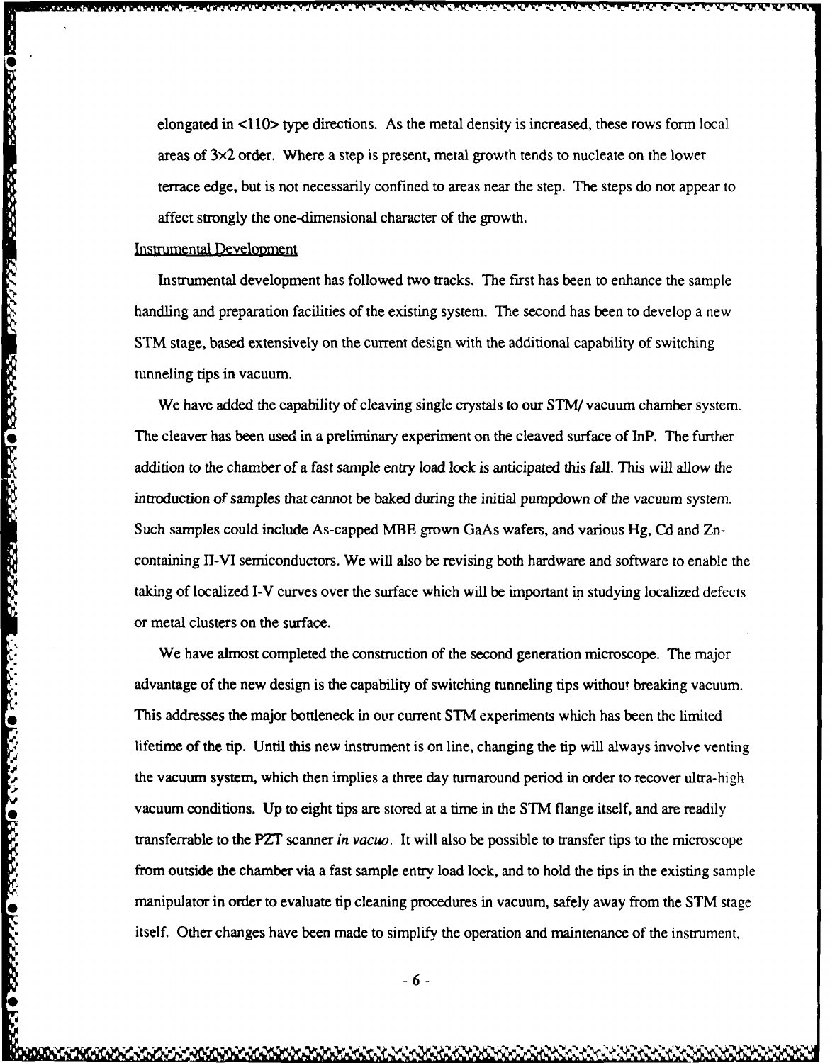elongated in <110> type directions. As the metal density is increased, these rows form local areas of  $3\times2$  order. Where a step is present, metal growth tends to nucleate on the lower terrace edge, but is not necessarily confined to areas near the step. The steps do not appear to affect strongly the one-dimensional character of the growth.

## Instrumental Development

arang araw ang mangalang araw ang mangalang araw ang pang

Instrumental development has followed two tracks. The first has been to enhance the sample handling and preparation facilities of the existing system. The second has been to develop a new STM stage, based extensively on the current design with the additional capability of switching tunneling tips in vacuum.

We have added the capability of cleaving single crystals to our **STM** vacuum chamber system. The cleaver has been used in a preliminary experiment on the cleaved surface of InP. The further addition to the chamber of a fast sample entry load lock is anticipated this fall. This will allow the introduction of samples that cannot be baked during the initial pumpdown of the vacuum system. Such samples could include As-capped MBE grown GaAs wafers, and various Hg, Cd and Zncontaining II-VI semiconductors. We will also be revising both hardware and software to enable the taking of localized I-V curves over the surface which will be important in studying localized defects or metal clusters on the surface.

We have almost completed the construction of the second generation microscope. The major advantage of the new design is the capability of switching tunneling tips without breaking vacuum. This addresses the major bottleneck in our current STM experiments which has been the limited lifetime of the tip. Until this new instrument is on line, changing the tip will always involve venting the vacuum system, which then implies a three day turnaround period in order to recover ultra-high vacuum conditions. Up to eight tips are stored at a time in the STM flange itself, and are readily transferrable to the PZT scanner *in vacuo.* It will also be possible to transfer tips to the microscope from outside the chamber via a fast sample entry load lock, and to hold the tips in the existing sample manipulator in order to evaluate tip cleaning procedures in vacuum, safely away from the STM stage itself. Other changes have been made to simplify the operation and maintenance of the instrument,

**-6-**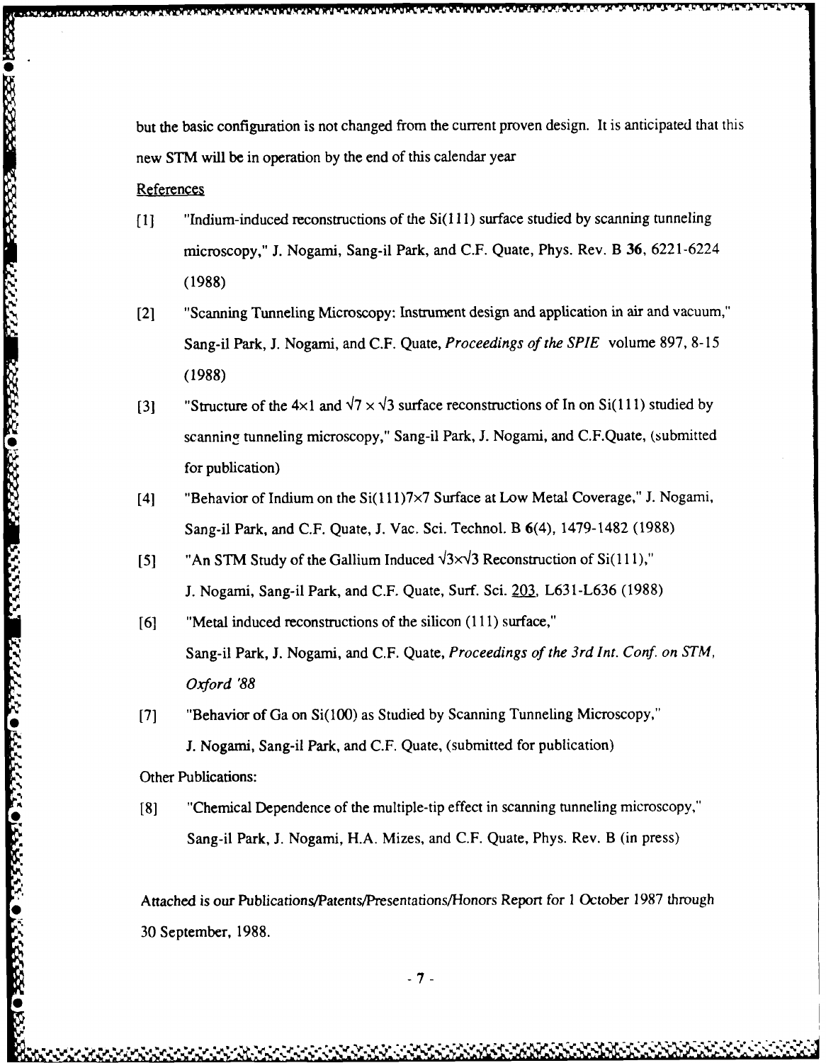but the basic configuration is not changed from the current proven design. It is anticipated that this new STM will be in operation by the end of this calendar year

# **References**

**0**

- **[1]** "Indium-induced reconstructions of the Si(1 11) surface studied by scanning tunneling microscopy," J. Nogami, Sang-il Park, and C.F. Quate, Phys. Rev. B **36,** 6221-6224 **(1988)**
- [21 "Scanning Tunneling Microscopy: Instrument design and application in air and vacuum," Sang-il Park, J. Nogami, and C.F. Quate, *Proceedings of the SPIE* volume 897, 8-15 (1988)
- [3] "Structure of the  $4\times1$  and  $\sqrt{7}\times\sqrt{3}$  surface reconstructions of In on Si(111) studied by scanning tunneling microscopy," Sang-il Park, J. Nogami, and C.F.Quate, (submitted for publication)
- [4] "Behavior of Indium on the Si(111)7×7 Surface at Low Metal Coverage," J. Nogami, Sang-il Park, and C.F. Quate, J. Vac. Sci. Technol. B 6(4), 1479-1482 (1988)
- [5]  $\text{A}_n$  STM Study of the Gallium Induced  $\sqrt{3} \times \sqrt{3}$  Reconstruction of Si(111)," J. Nogami, Sang-il Park, and C.F. Quate, Surf. Sci. **203,** L631-L636 (1988)
- [6] "Metal induced reconstructions of the silicon (111) surface," Sang-il Park, J. Nogami, and C.F. Quate, *Proceedings of the 3rd Int. Conf. on STM, Oxford '88*
- [7] "Behavior of Ga on Si(100) as Studied by Scanning Tunneling Microscopy," J. Nogami, Sang-il Park, and C.F. Quate, (submitted for publication)

Other Publications:

[8] "Chemical Dependence of the multiple-tip effect in scanning tunneling microscopy," Sang-il Park, J. Nogami, H.A. Mizes, and C.F. Quate, Phys. Rev. B (in press)

Attached is our Publications/Patents/Presentations/Honors Report for 1 October 1987 through 30 September, 1988.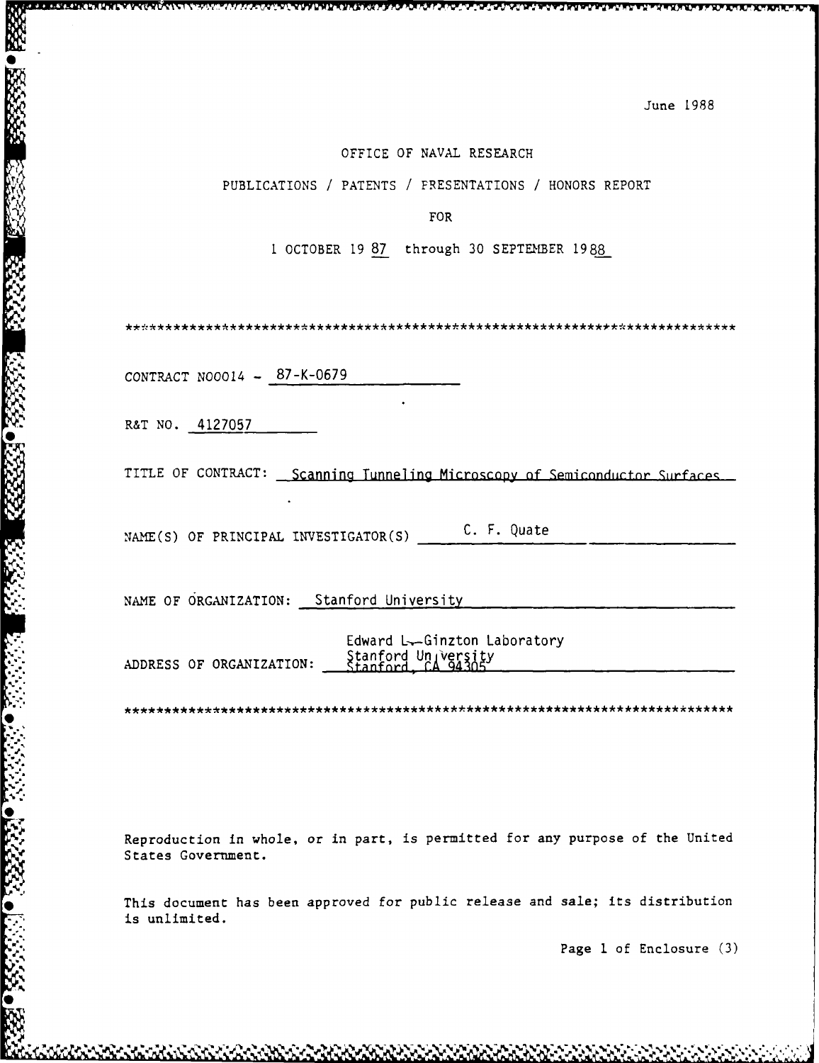#### OFFICE OF NAVAL RESEARCH

PUBLICATIONS */* PATENTS / FRESENTATIONS **/** HONORS REPORT

FOR

**I** OCTOBER 19 87 through 30 SEPTEmBER 1988

CONTRACT N00014 - 87-K-0679

R&T NO. 4127057

**0**

TITLE OF CONTRACT: Scanning Tunneling Microscopy of Semiconductor Surfaces

NAME(S) OF PRINCIPAL INVESTIGATOR(S)  $C. F. Quate$ 

NAME OF ORGANIZATION: Stanford University

Edward L-Ginzton Laboratory<br>Stanford Un/versity<br>Stanford, CA 94305

Reproduction in whole, or in part, is permitted for any purpose of the United States Government.

This document has been approved for public release and sale; its distribution is unlimited.

Page **1** of Enclosure (3)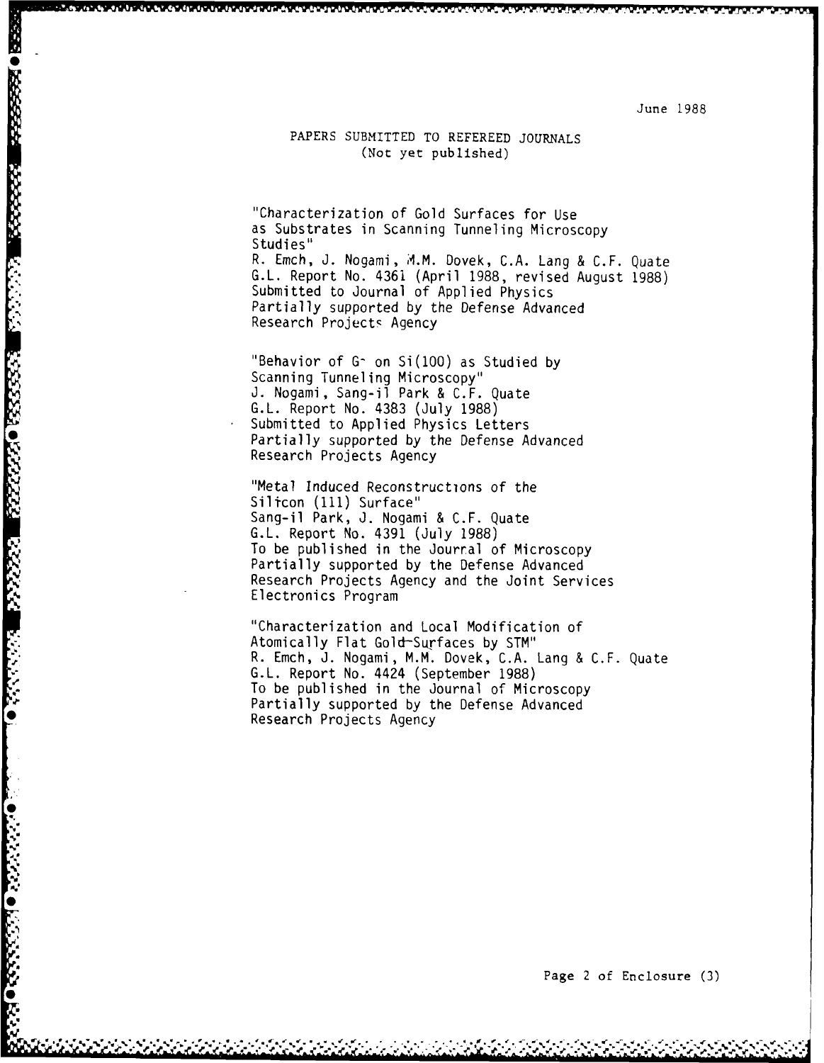#### PAPERS SUBMITTED TO REFEREED JOURNALS (Not yet published)

"Characterization of Gold Surfaces for Use as Substrates in Scanning Tunneling Microscopy Studies" R. Emch, **J.** Nogami, A.M. Dovek, C.A. Lang & C.F. Quate G.L. Report No. 4361 (April 1988, revised August 1988)

Submitted to Journal of Applied Physics Partially supported by the Defense Advanced Research Projects Agency

"Behavior of G<sup>-</sup> on Si(100) as Studied by Scanning Tunneling Microscopy" **J.** Nogami, Sang-il Park & C.F. Quate G.L. Report No. 4383 (July 1988) Submitted to Applied Physics Letters Partially supported by the Defense Advanced Research Projects Agency

"Metal Induced Reconstructions of the Silicon **(111)** Surface" Sang-il Park, J. Nogami & C.F. Quate G.L. Report No. 4391 (July 1988) To be published in the Jourral of Microscopy Partially supported by the Defense Advanced Research Projects Agency and the Joint Services Electronics Program

**EEE ORGERSER EN ANDER DE SERVERE DE SERVERE DE SERVERE DE SERVERE DE SERVERE DE SERVERE DE SERVERE DE SERVERE D** 

"Characterization and Local Modification of Atomically Flat Gold-Surfaces by STM" R. Emch, J. Nogami, M.M. Dovek, C.A. Lang & C.F. Quate G.L. Report No. 4424 (September 1988) To be published in the Journal of Microscopy Partially supported by the Defense Advanced Research Projects Agency

**Page 2 of Enclosure (3)**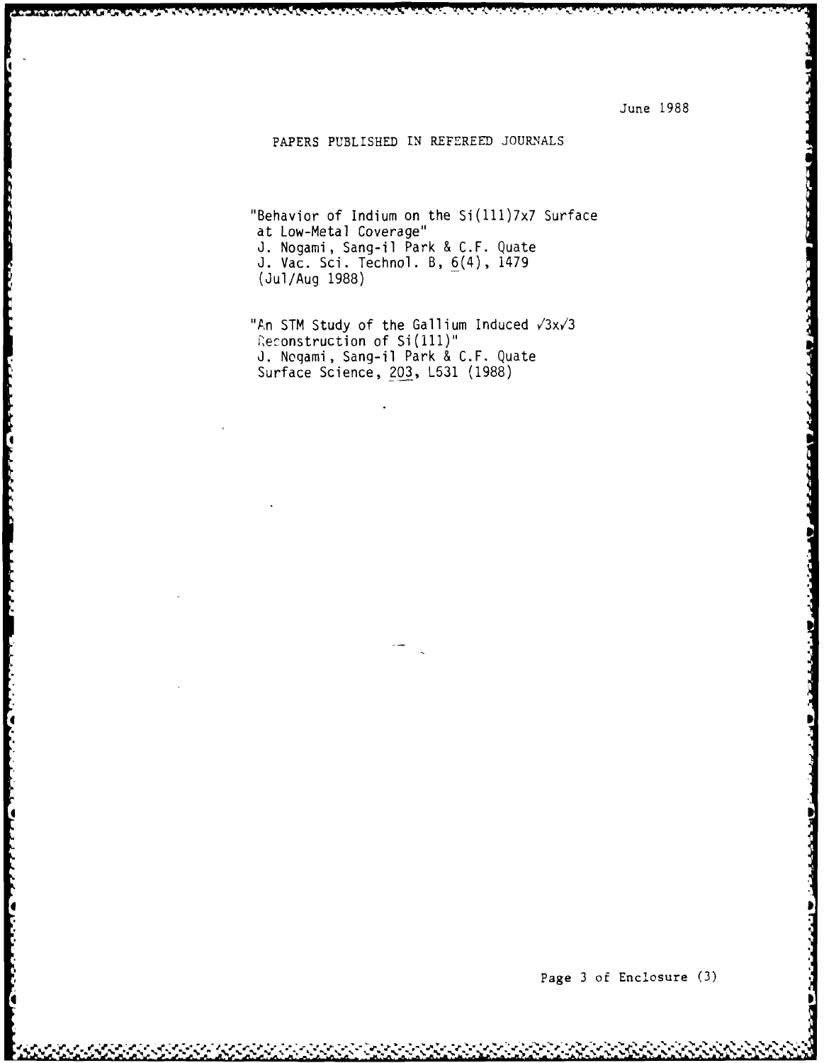# PAPERS PUBLISHED IN REFEREED **JOURNALS**

"Behavior of Indium on the Si(111)7x7 Surface at Low-Metal Coverage" **J.** Nogami, Sang-il Park **& C.F.** Quate **J.** Vac. Sci. Technol. B, 6(4), 1479 (Jul/Aug **1988)**

"An STM Study of the Gallium Induced  $\sqrt{3}x\sqrt{3}$ Reconstruction of Si(111)" **J.** Noqami, Sang-il Park **& C.F.** Quate Surface Science, **203, L631 (1988)**

**I**

**4**

 $\left| \right|$ 

**Contract Contract Contract Contract Contract Contract Contract Contract Contract Contract Contract Contract Contract Contract Contract Contract Contract Contract Contract Contract Contract Contract Contract Contract Contr**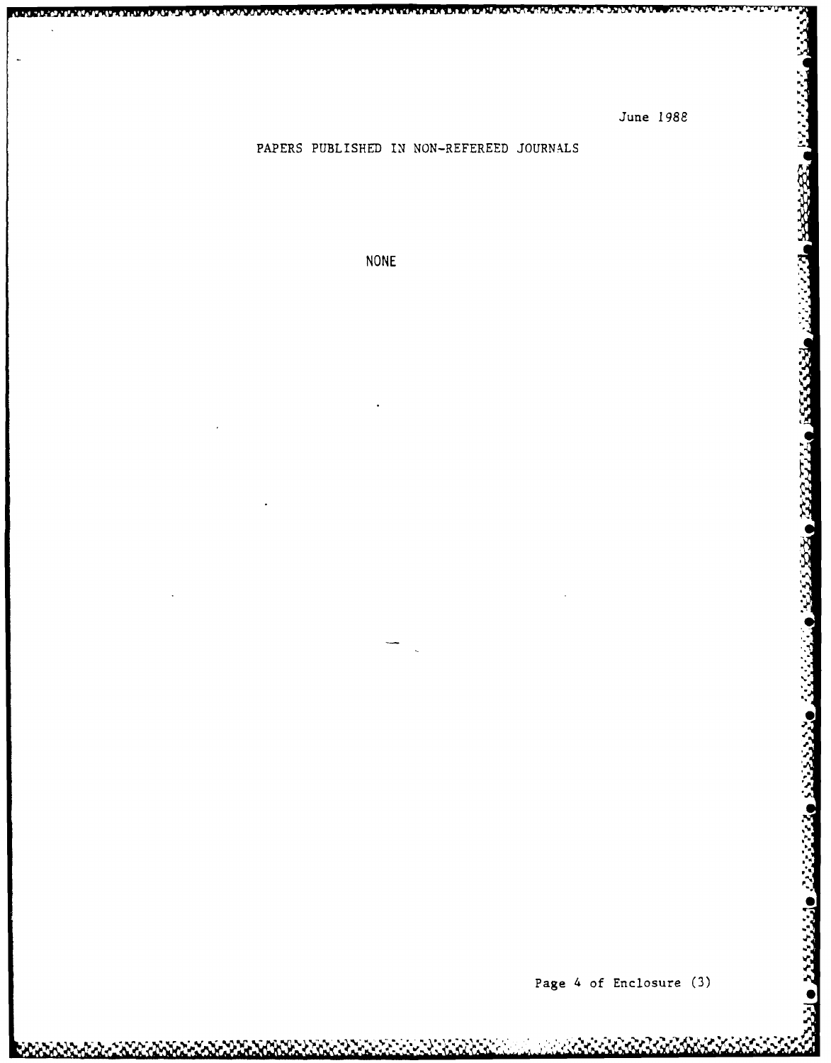# PAPERS PUBLISHED IN NON-REFEREED **JOURNALS**

**NONE**

**p.**

1999 - 1999 - 1999 - 1999 - 1999 - 1999 - 1999 - 1999 - 1999 - 1999 - 1999 - 1999 - 1999 - 1999 - 19

2333330 2332722

**S**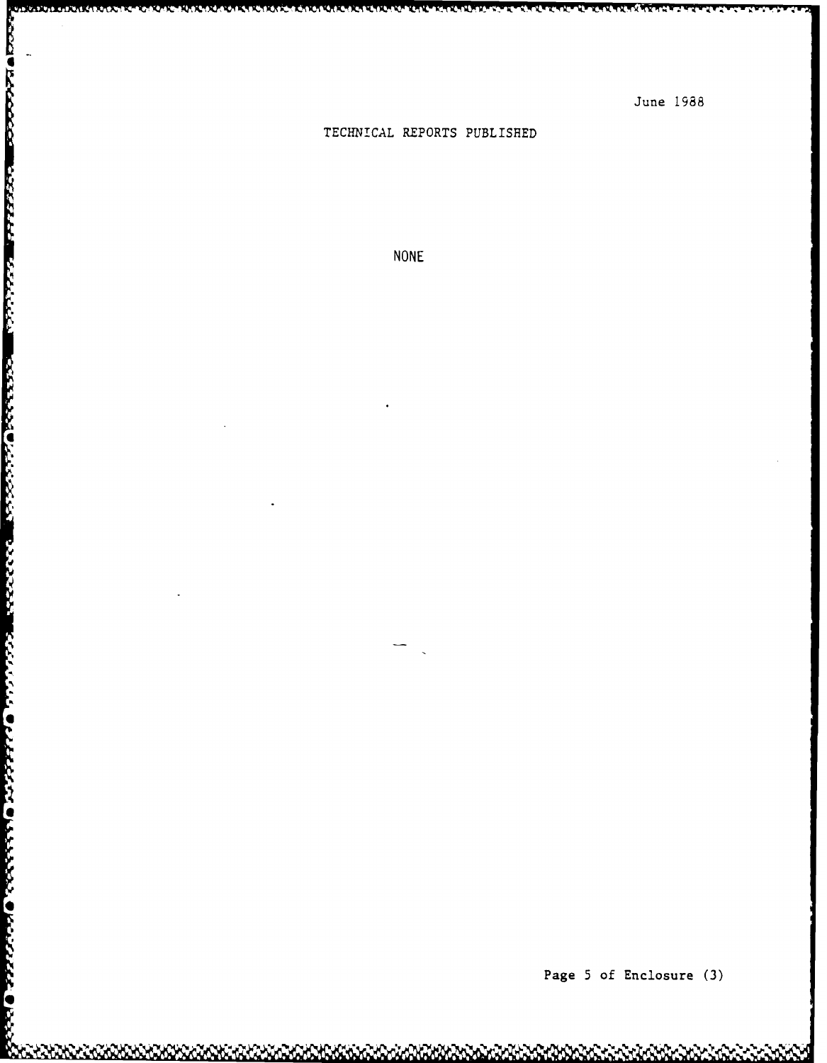# **TECHNICAL** REPORTS PUBLISHED

CALICA DE COM A GALICA

14. PERSONA

<u>i sakiran na mutu da</u>

**PRACTA IN SERVICE IN THE CAST OF A REAL PROPERTY OF A REAL PROPERTY** 

**BECALL AND** 

**OF LEAST OF LEAST OF LEAST OF** 

Ń,

**NONE**

Page **5** of Enclosure **(3)**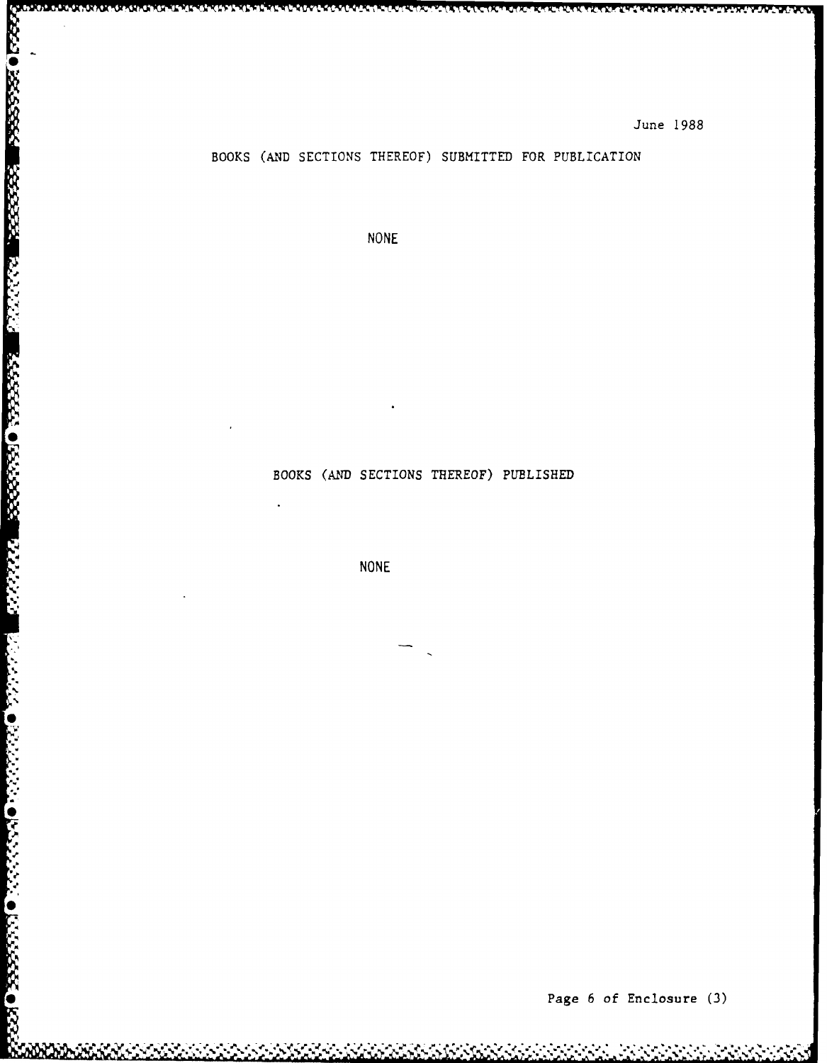## BOOKS **(AND** SECTIONS THEREOF) SUBMITTED FOR PUBLICATION

**NONE**

**FUNKNUMUMINU** 

# BOOKS **(AND** SECTIONS THEREOF) PUBLISHED

**NONE**

**022220 022222** 

Ķ  $\bullet$ 

ES S

W

888888

\* Page **6** of Enclosure **(3)**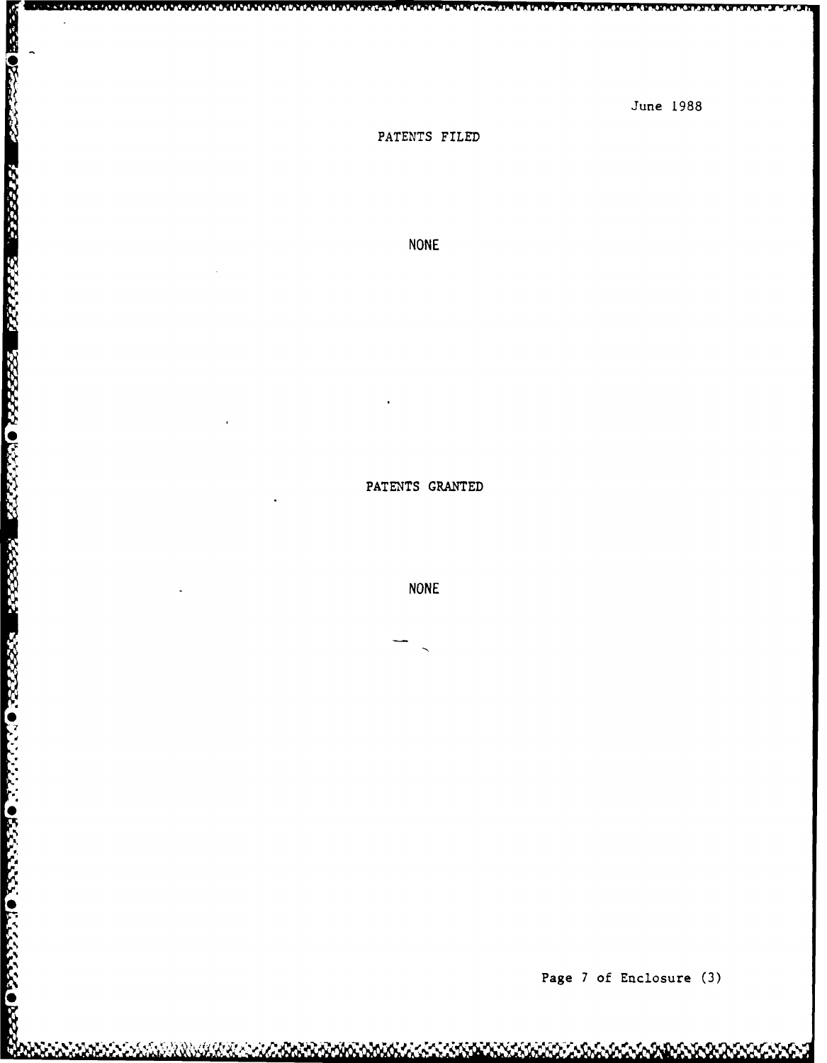R.

PATENTS FILED

ن و المنظر المنظر المنظر المنظر المنظر المنظر المنظر

NONE

PATENTS GRANTED

NONE

ALALALALALAUNUN KARA

**Page** 7 **of** Enclosure **(3)**

June 1988

 $\overline{\mathbf{u}}$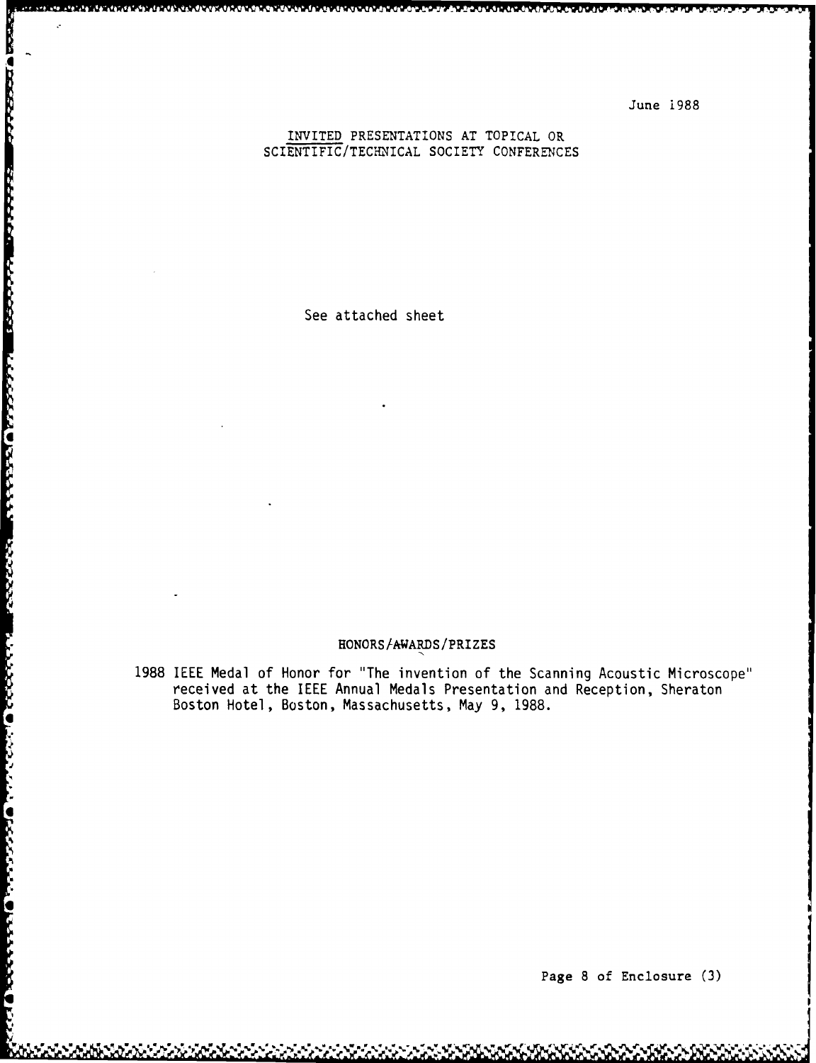#### INVITED PRESENTATIONS AT TOPICAL OR SCIENTIFIC/TECHNICAL SOCIETY CONFERENCES

See attached sheet

<u>ಪದ ರಂದವಾರಿದ ವರ್ಷವಾಗಿ ಭಾರತದ ಬಗ್ಗೆ ನಿರ್ಧಾರ ಮಾತನಾಗಿ ಮಾತನಾಗಿದೆ. ಬಗ್ಗೆ ನಿರ್ಧಾರ ಮಾತನಾಗಿ ನಿರ್ಧಾರ ನಿರ್ಧಾರ ನಿರ್ಧಾರ ನಿರ</u>

**4T** Wrw WV w rwwrw w n **.**

#### HONORS/AWARDS/PRIZES

1988 IEEE Medal of Honor for "The invention of the Scanning Acoustic Microscope" received at the IEEE Annual Medals Presentation and Reception, Sheraton Boston Hotel, Boston, Massachusetts, May 9, 1988.

Page 8 of Enclosure (3)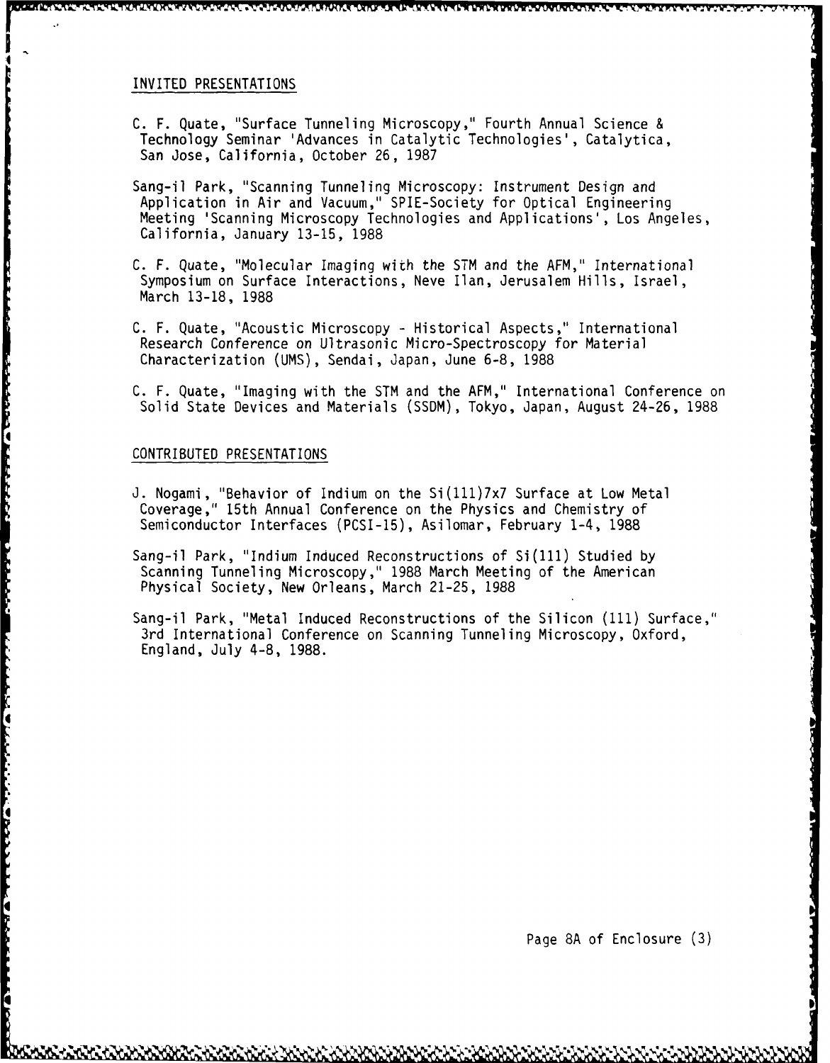#### INVITED PRESENTATIONS

C. F. Quate, "Surface Tunneling Microscopy," Fourth Annual Science & Technology Seminar 'Advances in Catalytic Technologies', Catalytica, San Jose, California, October 26, 1987

**<sup>r</sup>' ) r7vIW 1W. .lV~lN** .. *P* **TV**

- Sang-il Park, "Scanning Tunneling Microscopy: Instrument Design and Application in Air and Vacuum," SPIE-Society for Optical Engineering Meeting 'Scanning Microscopy Technologies and Applications', Los Angeles, California, January 13-15, 1988
- C. F. Quate, "Molecular Imaging with the STM and the AFM," International Symposium on Surface Interactions, Neve Ilan, Jerusalem Hills, Israel, March 13-18, 1988
- C. F. Quate, "Acoustic Microscopy Historical Aspects," International Research Conference on Ultrasonic Micro-Spectroscopy for Material Characterization (UMS), Sendai, Japan, June 6-8, 1988
- C. F. Quate, "Imaging with the STM and the AFM," International Conference on Solid State Devices and Materials (SSDM), Tokyo, Japan, August 24-26, 1988

#### CONTRIBUTED PRESENTATIONS

**CONTRACT CONTRACT CONTRACT OF CONTRACT OF CONTRACT OF CONTRACT OF CONTRACT CONTRACT OF CONTRACT OF CONTRACT OF** 

لتستعلفنا

アンディア しんしん いっこん いっこう いっこう いっこう しょうしょう アルトライン

**Free** 

- J. Nogami, "Behavior of Indium on the Si(111)7x7 Surface at Low Metal Coverage," 15th Annual Conference on the Physics and Chemistry of Semiconductor Interfaces (PCSI-15), Asilomar, February 1-4, 1988
- Sang-il Park, "Indium Induced Reconstructions of Si(111) Studied by Scanning Tunneling Microscopy," 1988 March Meeting of the American Physical Society, New Orleans, March 21-25, 1988
- Sang-il Park, "Metal Induced Reconstructions of the Silicon **(111)** Surface," 3rd International Conference on Scanning Tunneling Microscopy, Oxford, England, July 4-8, 1988.